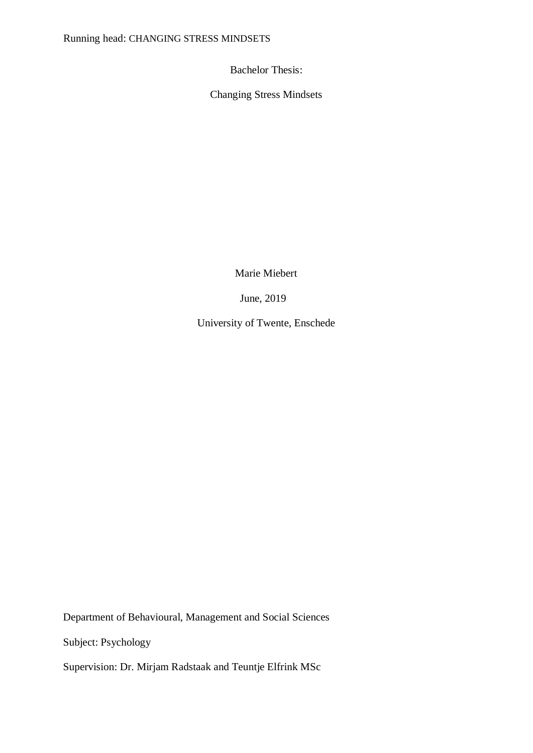Bachelor Thesis:

Changing Stress Mindsets

Marie Miebert

June, 2019

University of Twente, Enschede

Department of Behavioural, Management and Social Sciences

Subject: Psychology

Supervision: Dr. Mirjam Radstaak and Teuntje Elfrink MSc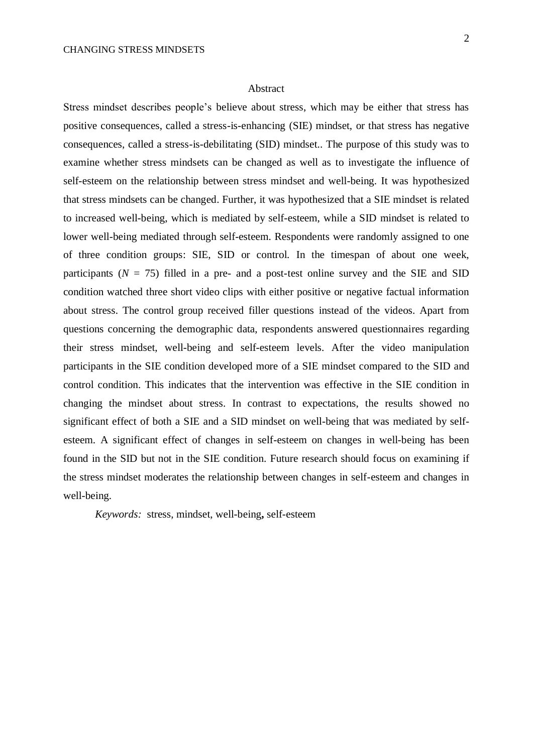### Abstract

Stress mindset describes people's believe about stress, which may be either that stress has positive consequences, called a stress-is-enhancing (SIE) mindset, or that stress has negative consequences, called a stress-is-debilitating (SID) mindset.. The purpose of this study was to examine whether stress mindsets can be changed as well as to investigate the influence of self-esteem on the relationship between stress mindset and well-being. It was hypothesized that stress mindsets can be changed. Further, it was hypothesized that a SIE mindset is related to increased well-being, which is mediated by self-esteem, while a SID mindset is related to lower well-being mediated through self-esteem. Respondents were randomly assigned to one of three condition groups: SIE, SID or control. In the timespan of about one week, participants ( $N = 75$ ) filled in a pre- and a post-test online survey and the SIE and SID condition watched three short video clips with either positive or negative factual information about stress. The control group received filler questions instead of the videos. Apart from questions concerning the demographic data, respondents answered questionnaires regarding their stress mindset, well-being and self-esteem levels. After the video manipulation participants in the SIE condition developed more of a SIE mindset compared to the SID and control condition. This indicates that the intervention was effective in the SIE condition in changing the mindset about stress. In contrast to expectations, the results showed no significant effect of both a SIE and a SID mindset on well-being that was mediated by selfesteem. A significant effect of changes in self-esteem on changes in well-being has been found in the SID but not in the SIE condition. Future research should focus on examining if the stress mindset moderates the relationship between changes in self-esteem and changes in well-being.

*Keywords:* stress, mindset, well-being**,** self-esteem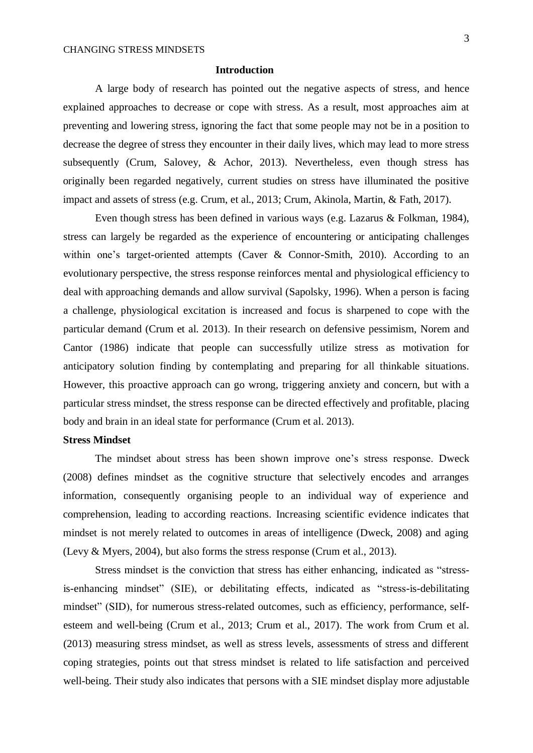# **Introduction**

A large body of research has pointed out the negative aspects of stress, and hence explained approaches to decrease or cope with stress. As a result, most approaches aim at preventing and lowering stress, ignoring the fact that some people may not be in a position to decrease the degree of stress they encounter in their daily lives, which may lead to more stress subsequently (Crum, Salovey, & Achor, 2013). Nevertheless, even though stress has originally been regarded negatively, current studies on stress have illuminated the positive impact and assets of stress (e.g. Crum, et al., 2013; Crum, Akinola, Martin, & Fath, 2017).

Even though stress has been defined in various ways (e.g. Lazarus & Folkman, 1984), stress can largely be regarded as the experience of encountering or anticipating challenges within one's target-oriented attempts (Caver & Connor-Smith, 2010). According to an evolutionary perspective, the stress response reinforces mental and physiological efficiency to deal with approaching demands and allow survival (Sapolsky, 1996). When a person is facing a challenge, physiological excitation is increased and focus is sharpened to cope with the particular demand (Crum et al. 2013). In their research on defensive pessimism, Norem and Cantor (1986) indicate that people can successfully utilize stress as motivation for anticipatory solution finding by contemplating and preparing for all thinkable situations. However, this proactive approach can go wrong, triggering anxiety and concern, but with a particular stress mindset, the stress response can be directed effectively and profitable, placing body and brain in an ideal state for performance (Crum et al. 2013).

# **Stress Mindset**

The mindset about stress has been shown improve one's stress response. Dweck (2008) defines mindset as the cognitive structure that selectively encodes and arranges information, consequently organising people to an individual way of experience and comprehension, leading to according reactions. Increasing scientific evidence indicates that mindset is not merely related to outcomes in areas of intelligence (Dweck, 2008) and aging (Levy & Myers, 2004), but also forms the stress response (Crum et al., 2013).

Stress mindset is the conviction that stress has either enhancing, indicated as "stressis-enhancing mindset" (SIE), or debilitating effects, indicated as "stress-is-debilitating mindset" (SID), for numerous stress-related outcomes, such as efficiency, performance, selfesteem and well-being (Crum et al., 2013; Crum et al., 2017). The work from Crum et al. (2013) measuring stress mindset, as well as stress levels, assessments of stress and different coping strategies, points out that stress mindset is related to life satisfaction and perceived well-being. Their study also indicates that persons with a SIE mindset display more adjustable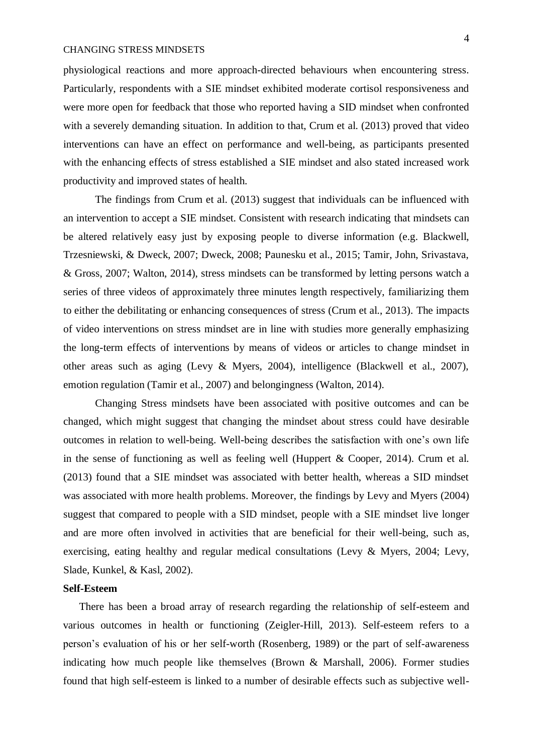physiological reactions and more approach-directed behaviours when encountering stress. Particularly, respondents with a SIE mindset exhibited moderate cortisol responsiveness and were more open for feedback that those who reported having a SID mindset when confronted with a severely demanding situation. In addition to that, Crum et al. (2013) proved that video interventions can have an effect on performance and well-being, as participants presented with the enhancing effects of stress established a SIE mindset and also stated increased work productivity and improved states of health.

The findings from Crum et al. (2013) suggest that individuals can be influenced with an intervention to accept a SIE mindset. Consistent with research indicating that mindsets can be altered relatively easy just by exposing people to diverse information (e.g. Blackwell, Trzesniewski, & Dweck, 2007; Dweck, 2008; Paunesku et al., 2015; Tamir, John, Srivastava, & Gross, 2007; Walton, 2014), stress mindsets can be transformed by letting persons watch a series of three videos of approximately three minutes length respectively, familiarizing them to either the debilitating or enhancing consequences of stress (Crum et al., 2013). The impacts of video interventions on stress mindset are in line with studies more generally emphasizing the long-term effects of interventions by means of videos or articles to change mindset in other areas such as aging (Levy & Myers, 2004), intelligence (Blackwell et al., 2007), emotion regulation (Tamir et al., 2007) and belongingness (Walton, 2014).

Changing Stress mindsets have been associated with positive outcomes and can be changed, which might suggest that changing the mindset about stress could have desirable outcomes in relation to well-being. Well-being describes the satisfaction with one's own life in the sense of functioning as well as feeling well (Huppert & Cooper, 2014). Crum et al. (2013) found that a SIE mindset was associated with better health, whereas a SID mindset was associated with more health problems. Moreover, the findings by Levy and Myers (2004) suggest that compared to people with a SID mindset, people with a SIE mindset live longer and are more often involved in activities that are beneficial for their well-being, such as, exercising, eating healthy and regular medical consultations (Levy & Myers, 2004; Levy, Slade, Kunkel, & Kasl, 2002).

## **Self-Esteem**

There has been a broad array of research regarding the relationship of self-esteem and various outcomes in health or functioning (Zeigler-Hill, 2013). Self-esteem refers to a person's evaluation of his or her self-worth (Rosenberg, 1989) or the part of self-awareness indicating how much people like themselves (Brown & Marshall, 2006). Former studies found that high self-esteem is linked to a number of desirable effects such as subjective well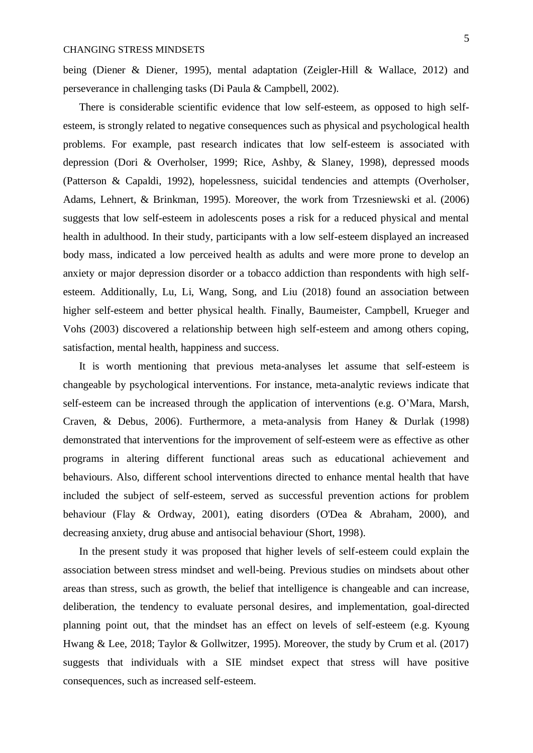being (Diener & Diener, 1995), mental adaptation (Zeigler-Hill & Wallace, 2012) and perseverance in challenging tasks (Di Paula & Campbell, 2002).

There is considerable scientific evidence that low self-esteem, as opposed to high selfesteem, is strongly related to negative consequences such as physical and psychological health problems. For example, past research indicates that low self-esteem is associated with depression (Dori & Overholser, 1999; Rice, Ashby, & Slaney, 1998), depressed moods (Patterson & Capaldi, 1992), hopelessness, suicidal tendencies and attempts (Overholser, Adams, Lehnert, & Brinkman, 1995). Moreover, the work from Trzesniewski et al. (2006) suggests that low self-esteem in adolescents poses a risk for a reduced physical and mental health in adulthood. In their study, participants with a low self-esteem displayed an increased body mass, indicated a low perceived health as adults and were more prone to develop an anxiety or major depression disorder or a tobacco addiction than respondents with high selfesteem. Additionally, Lu, Li, Wang, Song, and Liu (2018) found an association between higher self-esteem and better physical health. Finally, Baumeister, Campbell, Krueger and Vohs (2003) discovered a relationship between high self-esteem and among others coping, satisfaction, mental health, happiness and success.

It is worth mentioning that previous meta-analyses let assume that self-esteem is changeable by psychological interventions. For instance, meta-analytic reviews indicate that self-esteem can be increased through the application of interventions (e.g. O'Mara, Marsh, Craven, & Debus, 2006). Furthermore, a meta-analysis from Haney & Durlak (1998) demonstrated that interventions for the improvement of self-esteem were as effective as other programs in altering different functional areas such as educational achievement and behaviours. Also, different school interventions directed to enhance mental health that have included the subject of self-esteem, served as successful prevention actions for problem behaviour (Flay & Ordway, 2001), eating disorders (O'Dea & Abraham, 2000), and decreasing anxiety, drug abuse and antisocial behaviour (Short, 1998).

In the present study it was proposed that higher levels of self-esteem could explain the association between stress mindset and well-being. Previous studies on mindsets about other areas than stress, such as growth, the belief that intelligence is changeable and can increase, deliberation, the tendency to evaluate personal desires, and implementation, goal-directed planning point out, that the mindset has an effect on levels of self-esteem (e.g. Kyoung Hwang & Lee, 2018; Taylor & Gollwitzer, 1995). Moreover, the study by Crum et al. (2017) suggests that individuals with a SIE mindset expect that stress will have positive consequences, such as increased self-esteem.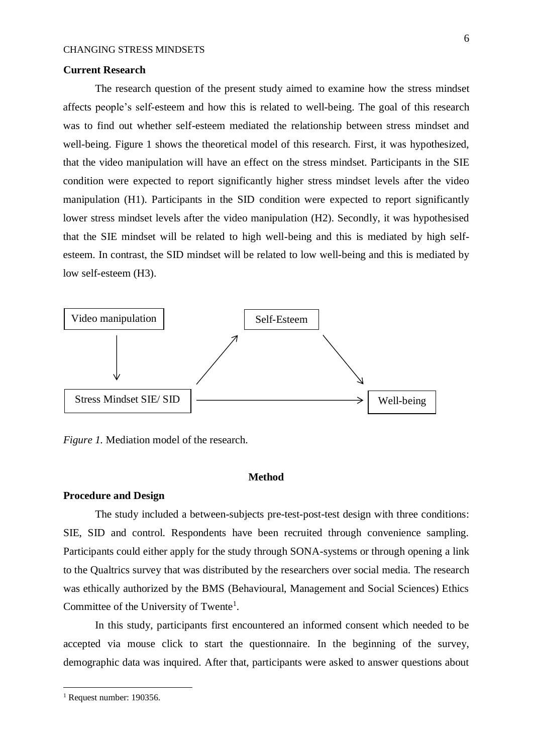## **Current Research**

The research question of the present study aimed to examine how the stress mindset affects people's self-esteem and how this is related to well-being. The goal of this research was to find out whether self-esteem mediated the relationship between stress mindset and well-being. Figure 1 shows the theoretical model of this research. First, it was hypothesized, that the video manipulation will have an effect on the stress mindset. Participants in the SIE condition were expected to report significantly higher stress mindset levels after the video manipulation (H1). Participants in the SID condition were expected to report significantly lower stress mindset levels after the video manipulation (H2). Secondly, it was hypothesised that the SIE mindset will be related to high well-being and this is mediated by high selfesteem. In contrast, the SID mindset will be related to low well-being and this is mediated by low self-esteem (H3).



*Figure 1.* Mediation model of the research.

### **Method**

### **Procedure and Design**

The study included a between-subjects pre-test-post-test design with three conditions: SIE, SID and control. Respondents have been recruited through convenience sampling. Participants could either apply for the study through SONA-systems or through opening a link to the Qualtrics survey that was distributed by the researchers over social media. The research was ethically authorized by the BMS (Behavioural, Management and Social Sciences) Ethics Committee of the University of Twente<sup>1</sup>.

In this study, participants first encountered an informed consent which needed to be accepted via mouse click to start the questionnaire. In the beginning of the survey, demographic data was inquired. After that, participants were asked to answer questions about

l

<sup>&</sup>lt;sup>1</sup> Request number: 190356.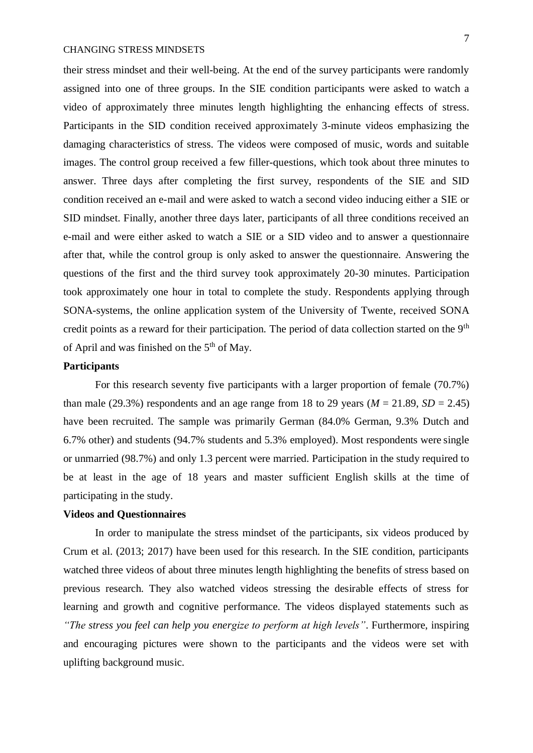their stress mindset and their well-being. At the end of the survey participants were randomly assigned into one of three groups. In the SIE condition participants were asked to watch a video of approximately three minutes length highlighting the enhancing effects of stress. Participants in the SID condition received approximately 3-minute videos emphasizing the damaging characteristics of stress. The videos were composed of music, words and suitable images. The control group received a few filler-questions, which took about three minutes to answer. Three days after completing the first survey, respondents of the SIE and SID condition received an e-mail and were asked to watch a second video inducing either a SIE or SID mindset. Finally, another three days later, participants of all three conditions received an e-mail and were either asked to watch a SIE or a SID video and to answer a questionnaire after that, while the control group is only asked to answer the questionnaire. Answering the questions of the first and the third survey took approximately 20-30 minutes. Participation took approximately one hour in total to complete the study. Respondents applying through SONA-systems, the online application system of the University of Twente, received SONA credit points as a reward for their participation. The period of data collection started on the 9<sup>th</sup> of April and was finished on the  $5<sup>th</sup>$  of May.

## **Participants**

For this research seventy five participants with a larger proportion of female (70.7%) than male (29.3%) respondents and an age range from 18 to 29 years ( $M = 21.89$ ,  $SD = 2.45$ ) have been recruited. The sample was primarily German (84.0% German, 9.3% Dutch and 6.7% other) and students (94.7% students and 5.3% employed). Most respondents were single or unmarried (98.7%) and only 1.3 percent were married. Participation in the study required to be at least in the age of 18 years and master sufficient English skills at the time of participating in the study.

# **Videos and Questionnaires**

In order to manipulate the stress mindset of the participants, six videos produced by Crum et al. (2013; 2017) have been used for this research. In the SIE condition, participants watched three videos of about three minutes length highlighting the benefits of stress based on previous research. They also watched videos stressing the desirable effects of stress for learning and growth and cognitive performance. The videos displayed statements such as *"The stress you feel can help you energize to perform at high levels"*. Furthermore, inspiring and encouraging pictures were shown to the participants and the videos were set with uplifting background music.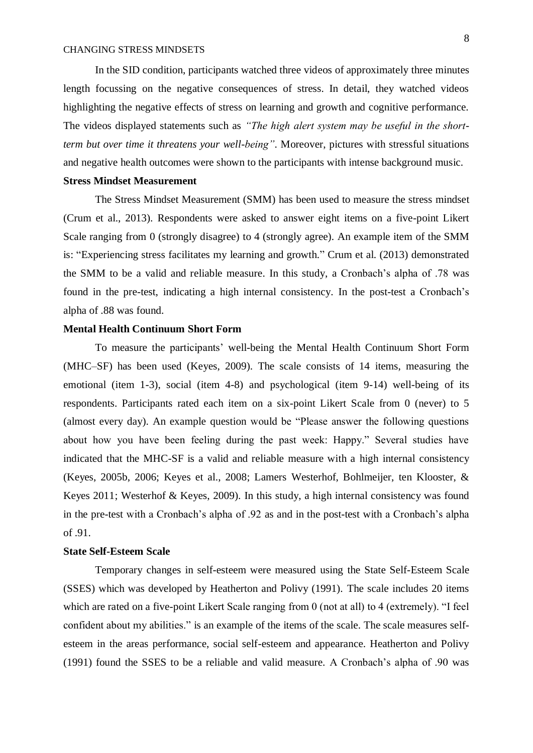In the SID condition, participants watched three videos of approximately three minutes length focussing on the negative consequences of stress. In detail, they watched videos highlighting the negative effects of stress on learning and growth and cognitive performance. The videos displayed statements such as *"The high alert system may be useful in the shortterm but over time it threatens your well-being"*. Moreover, pictures with stressful situations and negative health outcomes were shown to the participants with intense background music.

### **Stress Mindset Measurement**

The Stress Mindset Measurement (SMM) has been used to measure the stress mindset (Crum et al., 2013). Respondents were asked to answer eight items on a five-point Likert Scale ranging from 0 (strongly disagree) to 4 (strongly agree). An example item of the SMM is: "Experiencing stress facilitates my learning and growth." Crum et al. (2013) demonstrated the SMM to be a valid and reliable measure. In this study, a Cronbach's alpha of .78 was found in the pre-test, indicating a high internal consistency. In the post-test a Cronbach's alpha of .88 was found.

## **Mental Health Continuum Short Form**

To measure the participants' well-being the Mental Health Continuum Short Form (MHC–SF) has been used (Keyes, 2009). The scale consists of 14 items, measuring the emotional (item 1-3), social (item 4-8) and psychological (item 9-14) well-being of its respondents. Participants rated each item on a six-point Likert Scale from 0 (never) to 5 (almost every day). An example question would be "Please answer the following questions about how you have been feeling during the past week: Happy." Several studies have indicated that the MHC-SF is a valid and reliable measure with a high internal consistency (Keyes, 2005b, 2006; Keyes et al., 2008; Lamers Westerhof, Bohlmeijer, ten Klooster, & Keyes 2011; Westerhof & Keyes, 2009). In this study, a high internal consistency was found in the pre-test with a Cronbach's alpha of .92 as and in the post-test with a Cronbach's alpha of .91.

# **State Self-Esteem Scale**

Temporary changes in self-esteem were measured using the State Self-Esteem Scale (SSES) which was developed by Heatherton and Polivy (1991). The scale includes 20 items which are rated on a five-point Likert Scale ranging from 0 (not at all) to 4 (extremely). "I feel confident about my abilities." is an example of the items of the scale. The scale measures selfesteem in the areas performance, social self-esteem and appearance. Heatherton and Polivy (1991) found the SSES to be a reliable and valid measure. A Cronbach's alpha of .90 was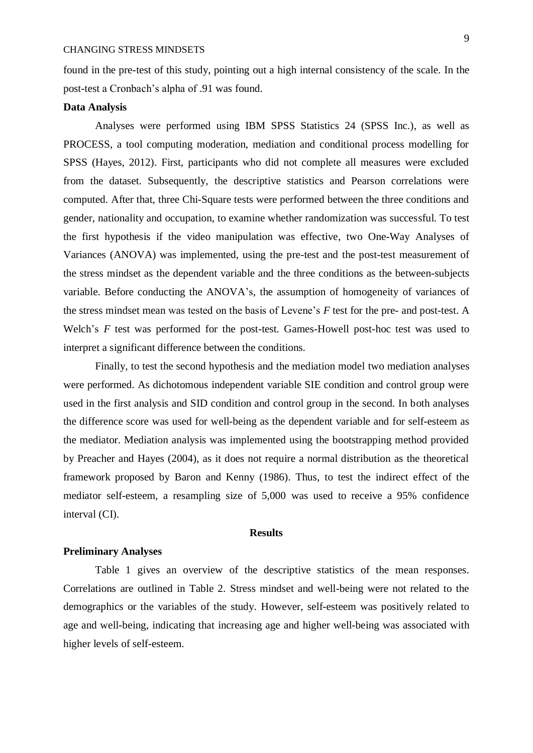found in the pre-test of this study, pointing out a high internal consistency of the scale. In the post-test a Cronbach's alpha of .91 was found.

# **Data Analysis**

Analyses were performed using IBM SPSS Statistics 24 (SPSS Inc.), as well as PROCESS, a tool computing moderation, mediation and conditional process modelling for SPSS (Hayes, 2012). First, participants who did not complete all measures were excluded from the dataset. Subsequently, the descriptive statistics and Pearson correlations were computed. After that, three Chi-Square tests were performed between the three conditions and gender, nationality and occupation, to examine whether randomization was successful. To test the first hypothesis if the video manipulation was effective, two One-Way Analyses of Variances (ANOVA) was implemented, using the pre-test and the post-test measurement of the stress mindset as the dependent variable and the three conditions as the between-subjects variable. Before conducting the ANOVA's, the assumption of homogeneity of variances of the stress mindset mean was tested on the basis of Levene's *F* test for the pre- and post-test. A Welch's *F* test was performed for the post-test. Games-Howell post-hoc test was used to interpret a significant difference between the conditions.

Finally, to test the second hypothesis and the mediation model two mediation analyses were performed. As dichotomous independent variable SIE condition and control group were used in the first analysis and SID condition and control group in the second. In both analyses the difference score was used for well-being as the dependent variable and for self-esteem as the mediator. Mediation analysis was implemented using the bootstrapping method provided by Preacher and Hayes (2004), as it does not require a normal distribution as the theoretical framework proposed by Baron and Kenny (1986). Thus, to test the indirect effect of the mediator self-esteem, a resampling size of 5,000 was used to receive a 95% confidence interval (CI).

# **Results**

# **Preliminary Analyses**

Table 1 gives an overview of the descriptive statistics of the mean responses. Correlations are outlined in Table 2. Stress mindset and well-being were not related to the demographics or the variables of the study. However, self-esteem was positively related to age and well-being, indicating that increasing age and higher well-being was associated with higher levels of self-esteem.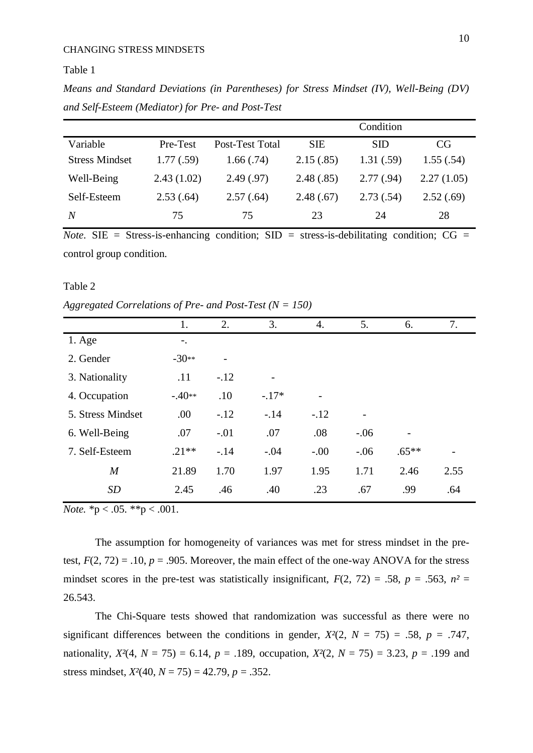Table 1

*Means and Standard Deviations (in Parentheses) for Stress Mindset (IV), Well-Being (DV) and Self-Esteem (Mediator) for Pre- and Post-Test*

|                       |            |                 | Condition  |            |            |  |
|-----------------------|------------|-----------------|------------|------------|------------|--|
| Variable              | Pre-Test   | Post-Test Total | <b>SIE</b> | <b>SID</b> | CG         |  |
| <b>Stress Mindset</b> | 1.77(.59)  | 1.66(.74)       | 2.15(.85)  | 1.31(.59)  | 1.55(.54)  |  |
| Well-Being            | 2.43(1.02) | 2.49(.97)       | 2.48(.85)  | 2.77(.94)  | 2.27(1.05) |  |
| Self-Esteem           | 2.53(.64)  | 2.57(.64)       | 2.48(.67)  | 2.73(.54)  | 2.52(.69)  |  |
| N                     | 75         | 75              | 23         | 24         | 28         |  |

*Note*. SIE = Stress-is-enhancing condition; SID = stress-is-debilitating condition;  $CG =$ control group condition.

### Table 2

*Aggregated Correlations of Pre- and Post-Test (N = 150)*

|                   | 1.       | 2.                       | 3.      | 4.     | 5.     | 6.      | 7.   |  |
|-------------------|----------|--------------------------|---------|--------|--------|---------|------|--|
| $1. \text{Age}$   | $-$ .    |                          |         |        |        |         |      |  |
| 2. Gender         | $-30**$  | $\overline{\phantom{0}}$ |         |        |        |         |      |  |
| 3. Nationality    | .11      | $-.12$                   |         |        |        |         |      |  |
| 4. Occupation     | $-.40**$ | .10                      | $-.17*$ |        |        |         |      |  |
| 5. Stress Mindset | .00      | $-.12$                   | $-.14$  | $-.12$ |        |         |      |  |
| 6. Well-Being     | .07      | $-.01$                   | .07     | .08    | $-.06$ |         |      |  |
| 7. Self-Esteem    | $.21**$  | $-.14$                   | $-.04$  | $-.00$ | $-.06$ | $.65**$ |      |  |
| $\boldsymbol{M}$  | 21.89    | 1.70                     | 1.97    | 1.95   | 1.71   | 2.46    | 2.55 |  |
| SD                | 2.45     | .46                      | .40     | .23    | .67    | .99     | .64  |  |
|                   |          |                          |         |        |        |         |      |  |

*Note.*  ${}^*p < .05.$   ${}^*p < .001.$ 

The assumption for homogeneity of variances was met for stress mindset in the pretest,  $F(2, 72) = .10$ ,  $p = .905$ . Moreover, the main effect of the one-way ANOVA for the stress mindset scores in the pre-test was statistically insignificant,  $F(2, 72) = .58$ ,  $p = .563$ ,  $n^2 =$ 26.543.

The Chi-Square tests showed that randomization was successful as there were no significant differences between the conditions in gender,  $X^2(2, N = 75) = .58$ ,  $p = .747$ , nationality,  $X^2(4, N = 75) = 6.14$ ,  $p = .189$ , occupation,  $X^2(2, N = 75) = 3.23$ ,  $p = .199$  and stress mindset,  $X^2(40, N = 75) = 42.79$ ,  $p = .352$ .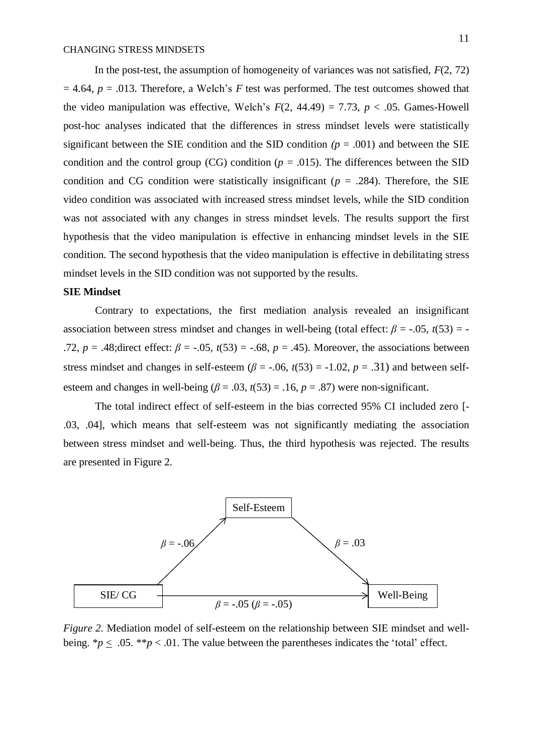In the post-test, the assumption of homogeneity of variances was not satisfied, *F*(2, 72)  $= 4.64$ ,  $p = .013$ . Therefore, a Welch's *F* test was performed. The test outcomes showed that the video manipulation was effective, Welch's  $F(2, 44.49) = 7.73$ ,  $p < .05$ . Games-Howell post-hoc analyses indicated that the differences in stress mindset levels were statistically significant between the SIE condition and the SID condition  $(p = .001)$  and between the SIE condition and the control group (CG) condition ( $p = .015$ ). The differences between the SID condition and CG condition were statistically insignificant ( $p = .284$ ). Therefore, the SIE video condition was associated with increased stress mindset levels, while the SID condition was not associated with any changes in stress mindset levels. The results support the first hypothesis that the video manipulation is effective in enhancing mindset levels in the SIE condition. The second hypothesis that the video manipulation is effective in debilitating stress mindset levels in the SID condition was not supported by the results.

# **SIE Mindset**

Contrary to expectations, the first mediation analysis revealed an insignificant association between stress mindset and changes in well-being (total effect: *β* = -.05, *t*(53) = - .72,  $p = .48$ ;direct effect:  $\beta = -.05$ ,  $t(53) = -.68$ ,  $p = .45$ ). Moreover, the associations between stress mindset and changes in self-esteem ( $\beta$  = -.06,  $t(53)$  = -1.02,  $p = .31$ ) and between selfesteem and changes in well-being  $(\beta = .03, t(53) = .16, p = .87)$  were non-significant.

The total indirect effect of self-esteem in the bias corrected 95% CI included zero [- .03, .04], which means that self-esteem was not significantly mediating the association between stress mindset and well-being. Thus, the third hypothesis was rejected. The results are presented in Figure 2.



*Figure 2.* Mediation model of self-esteem on the relationship between SIE mindset and wellbeing.  $\mathscr{p} \leq .05$ .  $\mathscr{p} \leq .01$ . The value between the parentheses indicates the 'total' effect.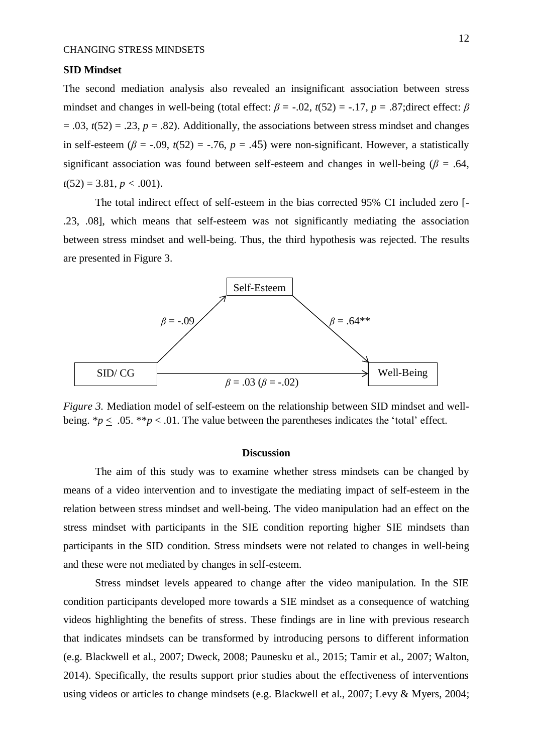# **SID Mindset**

The second mediation analysis also revealed an insignificant association between stress mindset and changes in well-being (total effect:  $\beta$  = -.02,  $t(52)$  = -.17,  $p = .87$ ;direct effect:  $\beta$  $= .03$ ,  $t(52) = .23$ ,  $p = .82$ ). Additionally, the associations between stress mindset and changes in self-esteem ( $\beta$  = -.09,  $t(52)$  = -.76,  $p = .45$ ) were non-significant. However, a statistically significant association was found between self-esteem and changes in well-being ( $\beta$  = .64,  $t(52) = 3.81, p < .001$ .

The total indirect effect of self-esteem in the bias corrected 95% CI included zero [- .23, .08], which means that self-esteem was not significantly mediating the association between stress mindset and well-being. Thus, the third hypothesis was rejected. The results are presented in Figure 3.



*Figure 3.* Mediation model of self-esteem on the relationship between SID mindset and wellbeing.  $\gamma p \leq 0.05$ . \*\**p* < .01. The value between the parentheses indicates the 'total' effect.

### **Discussion**

The aim of this study was to examine whether stress mindsets can be changed by means of a video intervention and to investigate the mediating impact of self-esteem in the relation between stress mindset and well-being. The video manipulation had an effect on the stress mindset with participants in the SIE condition reporting higher SIE mindsets than participants in the SID condition. Stress mindsets were not related to changes in well-being and these were not mediated by changes in self-esteem.

Stress mindset levels appeared to change after the video manipulation. In the SIE condition participants developed more towards a SIE mindset as a consequence of watching videos highlighting the benefits of stress. These findings are in line with previous research that indicates mindsets can be transformed by introducing persons to different information (e.g. Blackwell et al., 2007; Dweck, 2008; Paunesku et al., 2015; Tamir et al., 2007; Walton, 2014). Specifically, the results support prior studies about the effectiveness of interventions using videos or articles to change mindsets (e.g. Blackwell et al., 2007; Levy & Myers, 2004;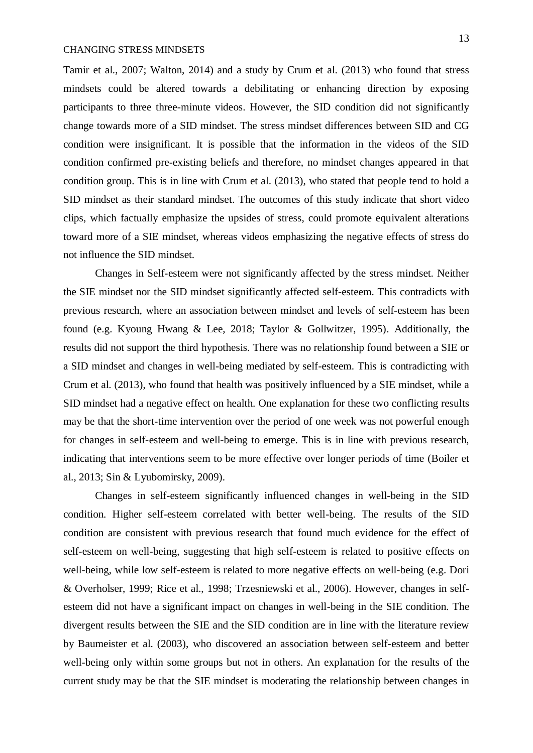Tamir et al., 2007; Walton, 2014) and a study by Crum et al. (2013) who found that stress mindsets could be altered towards a debilitating or enhancing direction by exposing participants to three three-minute videos. However, the SID condition did not significantly change towards more of a SID mindset. The stress mindset differences between SID and CG condition were insignificant. It is possible that the information in the videos of the SID condition confirmed pre-existing beliefs and therefore, no mindset changes appeared in that condition group. This is in line with Crum et al. (2013), who stated that people tend to hold a SID mindset as their standard mindset. The outcomes of this study indicate that short video clips, which factually emphasize the upsides of stress, could promote equivalent alterations toward more of a SIE mindset, whereas videos emphasizing the negative effects of stress do not influence the SID mindset.

Changes in Self-esteem were not significantly affected by the stress mindset. Neither the SIE mindset nor the SID mindset significantly affected self-esteem. This contradicts with previous research, where an association between mindset and levels of self-esteem has been found (e.g. Kyoung Hwang & Lee, 2018; Taylor & Gollwitzer, 1995). Additionally, the results did not support the third hypothesis. There was no relationship found between a SIE or a SID mindset and changes in well-being mediated by self-esteem. This is contradicting with Crum et al. (2013), who found that health was positively influenced by a SIE mindset, while a SID mindset had a negative effect on health. One explanation for these two conflicting results may be that the short-time intervention over the period of one week was not powerful enough for changes in self-esteem and well-being to emerge. This is in line with previous research, indicating that interventions seem to be more effective over longer periods of time (Boiler et al., 2013; Sin & Lyubomirsky, 2009).

Changes in self-esteem significantly influenced changes in well-being in the SID condition. Higher self-esteem correlated with better well-being. The results of the SID condition are consistent with previous research that found much evidence for the effect of self-esteem on well-being, suggesting that high self-esteem is related to positive effects on well-being, while low self-esteem is related to more negative effects on well-being (e.g. Dori & Overholser, 1999; Rice et al., 1998; Trzesniewski et al., 2006). However, changes in selfesteem did not have a significant impact on changes in well-being in the SIE condition. The divergent results between the SIE and the SID condition are in line with the literature review by Baumeister et al. (2003), who discovered an association between self-esteem and better well-being only within some groups but not in others. An explanation for the results of the current study may be that the SIE mindset is moderating the relationship between changes in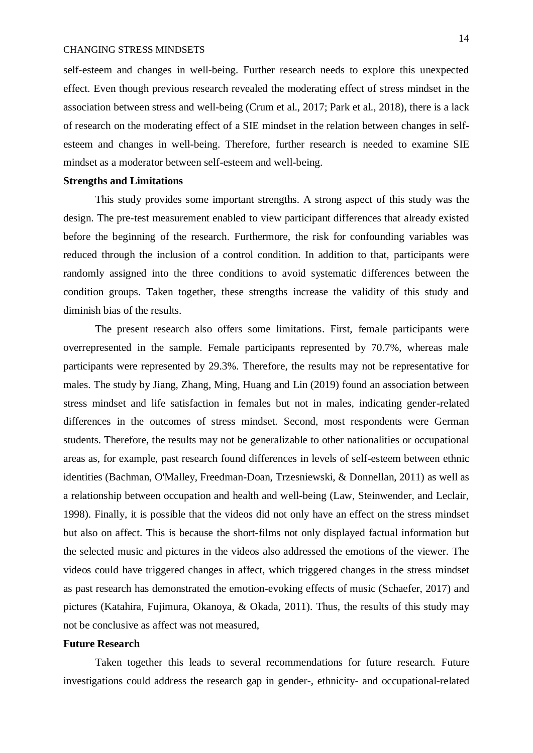self-esteem and changes in well-being. Further research needs to explore this unexpected effect. Even though previous research revealed the moderating effect of stress mindset in the association between stress and well-being (Crum et al., 2017; Park et al., 2018), there is a lack of research on the moderating effect of a SIE mindset in the relation between changes in selfesteem and changes in well-being. Therefore, further research is needed to examine SIE mindset as a moderator between self-esteem and well-being.

## **Strengths and Limitations**

This study provides some important strengths. A strong aspect of this study was the design. The pre-test measurement enabled to view participant differences that already existed before the beginning of the research. Furthermore, the risk for confounding variables was reduced through the inclusion of a control condition. In addition to that, participants were randomly assigned into the three conditions to avoid systematic differences between the condition groups. Taken together, these strengths increase the validity of this study and diminish bias of the results.

The present research also offers some limitations. First, female participants were overrepresented in the sample. Female participants represented by 70.7%, whereas male participants were represented by 29.3%. Therefore, the results may not be representative for males. The study by Jiang, Zhang, Ming, Huang and Lin (2019) found an association between stress mindset and life satisfaction in females but not in males, indicating gender-related differences in the outcomes of stress mindset. Second, most respondents were German students. Therefore, the results may not be generalizable to other nationalities or occupational areas as, for example, past research found differences in levels of self-esteem between ethnic identities (Bachman, O'Malley, Freedman-Doan, Trzesniewski, & Donnellan, 2011) as well as a relationship between occupation and health and well-being (Law, Steinwender, and Leclair, 1998). Finally, it is possible that the videos did not only have an effect on the stress mindset but also on affect. This is because the short-films not only displayed factual information but the selected music and pictures in the videos also addressed the emotions of the viewer. The videos could have triggered changes in affect, which triggered changes in the stress mindset as past research has demonstrated the emotion-evoking effects of music (Schaefer, 2017) and pictures (Katahira, Fujimura, Okanoya, & Okada, 2011). Thus, the results of this study may not be conclusive as affect was not measured,

# **Future Research**

Taken together this leads to several recommendations for future research. Future investigations could address the research gap in gender-, ethnicity- and occupational-related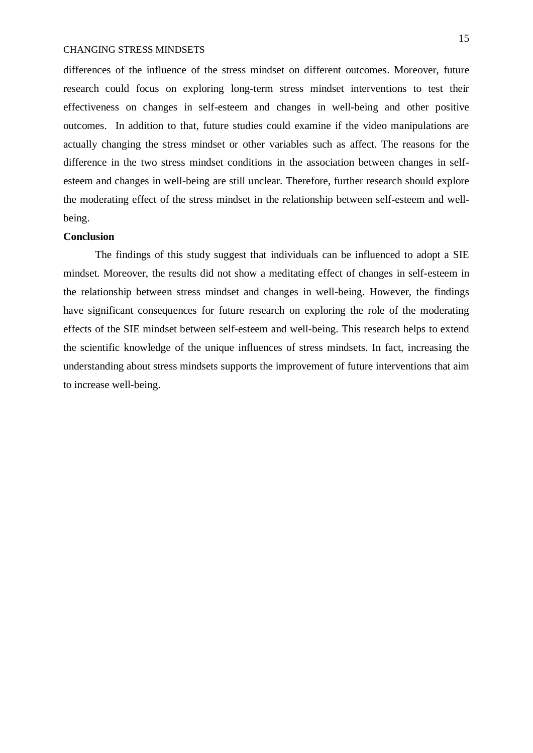differences of the influence of the stress mindset on different outcomes. Moreover, future research could focus on exploring long-term stress mindset interventions to test their effectiveness on changes in self-esteem and changes in well-being and other positive outcomes. In addition to that, future studies could examine if the video manipulations are actually changing the stress mindset or other variables such as affect. The reasons for the difference in the two stress mindset conditions in the association between changes in selfesteem and changes in well-being are still unclear. Therefore, further research should explore the moderating effect of the stress mindset in the relationship between self-esteem and wellbeing.

# **Conclusion**

The findings of this study suggest that individuals can be influenced to adopt a SIE mindset. Moreover, the results did not show a meditating effect of changes in self-esteem in the relationship between stress mindset and changes in well-being. However, the findings have significant consequences for future research on exploring the role of the moderating effects of the SIE mindset between self-esteem and well-being. This research helps to extend the scientific knowledge of the unique influences of stress mindsets. In fact, increasing the understanding about stress mindsets supports the improvement of future interventions that aim to increase well-being.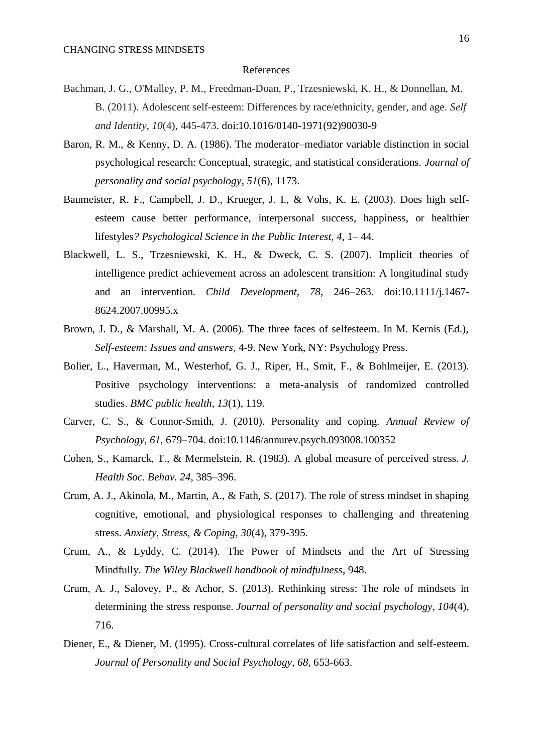### References

- Bachman, J. G., O'Malley, P. M., Freedman-Doan, P., Trzesniewski, K. H., & Donnellan, M. B. (2011). Adolescent self-esteem: Differences by race/ethnicity, gender, and age. *Self and Identity*, *10*(4), 445-473. doi:10.1016/0140-1971(92)90030-9
- Baron, R. M., & Kenny, D. A. (1986). The moderator–mediator variable distinction in social psychological research: Conceptual, strategic, and statistical considerations. *Journal of personality and social psychology*, *51*(6), 1173.
- Baumeister, R. F., Campbell, J. D., Krueger, J. I., & Vohs, K. E. (2003). Does high selfesteem cause better performance, interpersonal success, happiness, or healthier lifestyles*? Psychological Science in the Public Interest, 4*, 1– 44.
- Blackwell, L. S., Trzesniewski, K. H., & Dweck, C. S. (2007). Implicit theories of intelligence predict achievement across an adolescent transition: A longitudinal study and an intervention. *Child Development*, *78*, 246–263. doi:10.1111/j.1467- 8624.2007.00995.x
- Brown, J. D., & Marshall, M. A. (2006). The three faces of selfesteem. In M. Kernis (Ed.), *Self-esteem: Issues and answers*, 4-9. New York, NY: Psychology Press.
- Bolier, L., Haverman, M., Westerhof, G. J., Riper, H., Smit, F., & Bohlmeijer, E. (2013). Positive psychology interventions: a meta-analysis of randomized controlled studies. *BMC public health*, *13*(1), 119.
- Carver, C. S., & Connor-Smith, J. (2010). Personality and coping. *Annual Review of Psychology, 61,* 679–704. doi:10.1146/annurev.psych.093008.100352
- Cohen, S., Kamarck, T., & Mermelstein, R. (1983). A global measure of perceived stress. *J. Health Soc. Behav. 24*, 385–396.
- Crum, A. J., Akinola, M., Martin, A., & Fath, S. (2017). The role of stress mindset in shaping cognitive, emotional, and physiological responses to challenging and threatening stress. *Anxiety, Stress, & Coping*, *30*(4), 379-395.
- Crum, A., & Lyddy, C. (2014). The Power of Mindsets and the Art of Stressing Mindfully. *The Wiley Blackwell handbook of mindfulness*, 948.
- Crum, A. J., Salovey, P., & Achor, S. (2013). Rethinking stress: The role of mindsets in determining the stress response. *Journal of personality and social psychology*, *104*(4), 716.
- Diener, E., & Diener, M. (1995). Cross-cultural correlates of life satisfaction and self-esteem. *Journal of Personality and Social Psychology*, *68*, 653-663.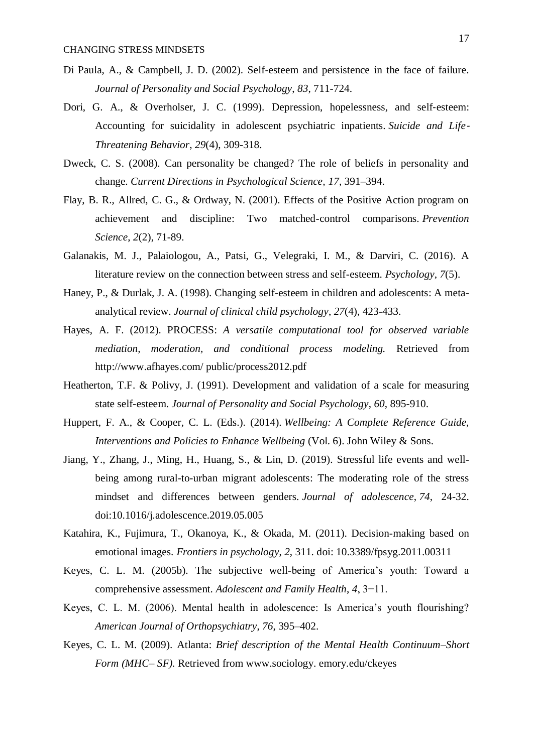- Di Paula, A., & Campbell, J. D. (2002). Self-esteem and persistence in the face of failure. *Journal of Personality and Social Psychology*, *83*, 711-724.
- Dori, G. A., & Overholser, J. C. (1999). Depression, hopelessness, and self-esteem: Accounting for suicidality in adolescent psychiatric inpatients. *Suicide and Life*‐ *Threatening Behavior*, *29*(4), 309-318.
- Dweck, C. S. (2008). Can personality be changed? The role of beliefs in personality and change. *Current Directions in Psychological Science, 17,* 391–394.
- Flay, B. R., Allred, C. G., & Ordway, N. (2001). Effects of the Positive Action program on achievement and discipline: Two matched-control comparisons. *Prevention Science*, *2*(2), 71-89.
- Galanakis, M. J., Palaiologou, A., Patsi, G., Velegraki, I. M., & Darviri, C. (2016). A literature review on the connection between stress and self-esteem. *Psychology*, *7*(5).
- Haney, P., & Durlak, J. A. (1998). Changing self-esteem in children and adolescents: A metaanalytical review. *Journal of clinical child psychology*, *27*(4), 423-433.
- Hayes, A. F. (2012). PROCESS: *A versatile computational tool for observed variable mediation, moderation, and conditional process modeling.* Retrieved from http://www.afhayes.com/ public/process2012.pdf
- Heatherton, T.F. & Polivy, J. (1991). Development and validation of a scale for measuring state self-esteem. *Journal of Personality and Social Psychology*, *60*, 895-910.
- Huppert, F. A., & Cooper, C. L. (Eds.). (2014). *Wellbeing: A Complete Reference Guide, Interventions and Policies to Enhance Wellbeing* (Vol. 6). John Wiley & Sons.
- Jiang, Y., Zhang, J., Ming, H., Huang, S., & Lin, D. (2019). Stressful life events and wellbeing among rural-to-urban migrant adolescents: The moderating role of the stress mindset and differences between genders. *Journal of adolescence*, *74*, 24-32. doi:10.1016/j.adolescence.2019.05.005
- Katahira, K., Fujimura, T., Okanoya, K., & Okada, M. (2011). Decision-making based on emotional images. *Frontiers in psychology*, *2*, 311. doi: 10.3389/fpsyg.2011.00311
- Keyes, C. L. M. (2005b). The subjective well-being of America's youth: Toward a comprehensive assessment. *Adolescent and Family Health*, *4*, 3−11.
- Keyes, C. L. M. (2006). Mental health in adolescence: Is America's youth flourishing? *American Journal of Orthopsychiatry*, *76*, 395–402.
- Keyes, C. L. M. (2009). Atlanta: *Brief description of the Mental Health Continuum–Short Form (MHC– SF).* Retrieved from www.sociology. emory.edu/ckeyes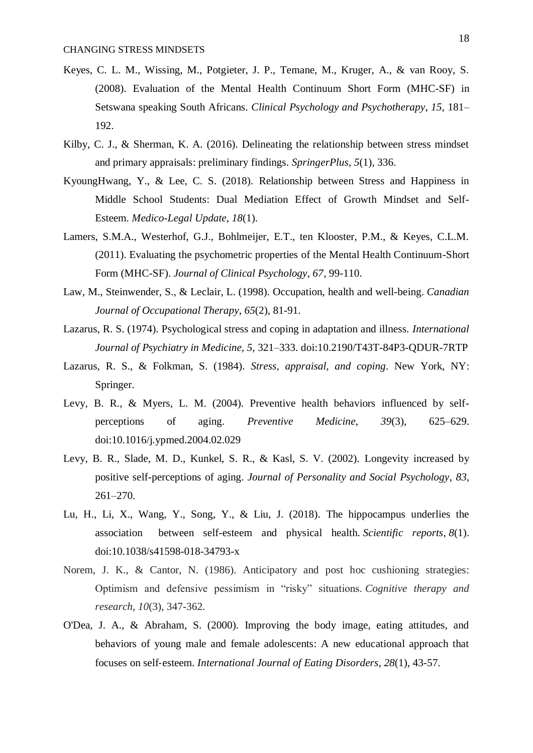- Keyes, C. L. M., Wissing, M., Potgieter, J. P., Temane, M., Kruger, A., & van Rooy, S. (2008). Evaluation of the Mental Health Continuum Short Form (MHC-SF) in Setswana speaking South Africans. *Clinical Psychology and Psychotherapy*, *15*, 181– 192.
- Kilby, C. J., & Sherman, K. A. (2016). Delineating the relationship between stress mindset and primary appraisals: preliminary findings. *SpringerPlus*, *5*(1), 336.
- KyoungHwang, Y., & Lee, C. S. (2018). Relationship between Stress and Happiness in Middle School Students: Dual Mediation Effect of Growth Mindset and Self-Esteem. *Medico-Legal Update*, *18*(1).
- Lamers, S.M.A., Westerhof, G.J., Bohlmeijer, E.T., ten Klooster, P.M., & Keyes, C.L.M. (2011). Evaluating the psychometric properties of the Mental Health Continuum-Short Form (MHC-SF). *Journal of Clinical Psychology*, *67*, 99-110.
- Law, M., Steinwender, S., & Leclair, L. (1998). Occupation, health and well-being. *Canadian Journal of Occupational Therapy*, *65*(2), 81-91.
- Lazarus, R. S. (1974). Psychological stress and coping in adaptation and illness. *International Journal of Psychiatry in Medicine, 5,* 321–333. doi:10.2190/T43T-84P3-QDUR-7RTP
- Lazarus, R. S., & Folkman, S. (1984). *Stress, appraisal, and coping*. New York, NY: Springer.
- Levy, B. R., & Myers, L. M. (2004). Preventive health behaviors influenced by selfperceptions of aging. *Preventive Medicine*, *39*(3), 625–629. doi:10.1016/j.ypmed.2004.02.029
- Levy, B. R., Slade, M. D., Kunkel, S. R., & Kasl, S. V. (2002). Longevity increased by positive self-perceptions of aging. *Journal of Personality and Social Psychology*, *83*,  $261 - 270$ .
- Lu, H., Li, X., Wang, Y., Song, Y., & Liu, J. (2018). The hippocampus underlies the association between self-esteem and physical health. *Scientific reports*, *8*(1). doi:10.1038/s41598-018-34793-x
- Norem, J. K., & Cantor, N. (1986). Anticipatory and post hoc cushioning strategies: Optimism and defensive pessimism in "risky" situations. *Cognitive therapy and research*, *10*(3), 347-362.
- O'Dea, J. A., & Abraham, S. (2000). Improving the body image, eating attitudes, and behaviors of young male and female adolescents: A new educational approach that focuses on self‐esteem. *International Journal of Eating Disorders*, *28*(1), 43-57.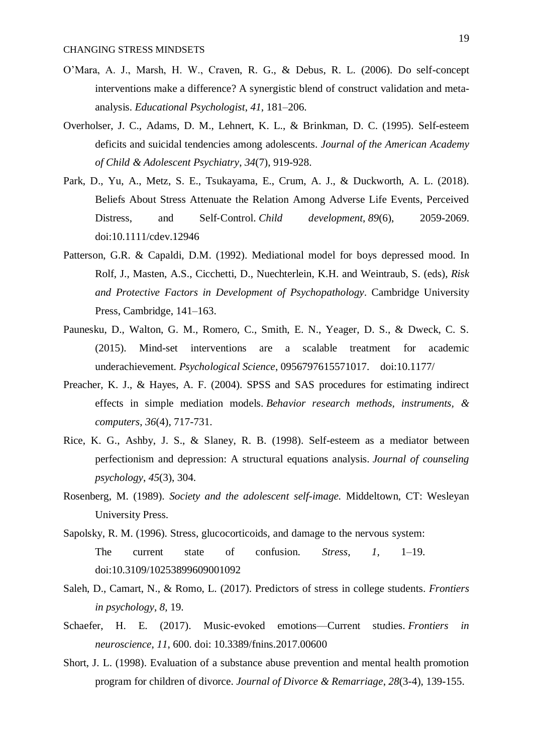- O'Mara, A. J., Marsh, H. W., Craven, R. G., & Debus, R. L. (2006). Do self-concept interventions make a difference? A synergistic blend of construct validation and metaanalysis. *Educational Psychologist*, *41*, 181–206.
- Overholser, J. C., Adams, D. M., Lehnert, K. L., & Brinkman, D. C. (1995). Self-esteem deficits and suicidal tendencies among adolescents. *Journal of the American Academy of Child & Adolescent Psychiatry*, *34*(7), 919-928.
- Park, D., Yu, A., Metz, S. E., Tsukayama, E., Crum, A. J., & Duckworth, A. L. (2018). Beliefs About Stress Attenuate the Relation Among Adverse Life Events, Perceived Distress, and Self‐Control. *Child development*, *89*(6), 2059-2069. doi:10.1111/cdev.12946
- Patterson, G.R. & Capaldi, D.M. (1992). Mediational model for boys depressed mood. In Rolf, J., Masten, A.S., Cicchetti, D., Nuechterlein, K.H. and Weintraub, S. (eds), *Risk and Protective Factors in Development of Psychopathology*. Cambridge University Press, Cambridge, 141–163.
- Paunesku, D., Walton, G. M., Romero, C., Smith, E. N., Yeager, D. S., & Dweck, C. S. (2015). Mind-set interventions are a scalable treatment for academic underachievement. *Psychological Science*, 0956797615571017. doi:10.1177/
- Preacher, K. J., & Hayes, A. F. (2004). SPSS and SAS procedures for estimating indirect effects in simple mediation models. *Behavior research methods, instruments, & computers*, *36*(4), 717-731.
- Rice, K. G., Ashby, J. S., & Slaney, R. B. (1998). Self-esteem as a mediator between perfectionism and depression: A structural equations analysis. *Journal of counseling psychology*, *45*(3), 304.
- Rosenberg, M. (1989). *Society and the adolescent self-image.* Middeltown, CT: Wesleyan University Press.
- Sapolsky, R. M. (1996). Stress, glucocorticoids, and damage to the nervous system: The current state of confusion. *Stress, 1,* 1–19. doi:10.3109/10253899609001092
- Saleh, D., Camart, N., & Romo, L. (2017). Predictors of stress in college students. *Frontiers in psychology*, *8*, 19.
- Schaefer, H. E. (2017). Music-evoked emotions—Current studies. *Frontiers in neuroscience*, *11*, 600. doi: 10.3389/fnins.2017.00600
- Short, J. L. (1998). Evaluation of a substance abuse prevention and mental health promotion program for children of divorce. *Journal of Divorce & Remarriage*, *28*(3-4), 139-155.